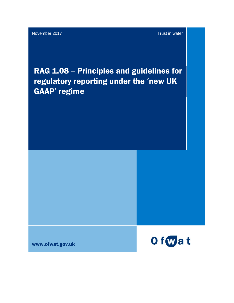# RAG 1.08 – Principles and guidelines for regulatory reporting under the 'new UK GAAP' regime

www.ofwat.gov.uk

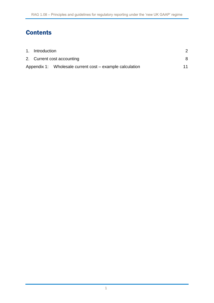## **Contents**

| 1. Introduction            |                                                          |    |
|----------------------------|----------------------------------------------------------|----|
| 2. Current cost accounting |                                                          |    |
|                            | Appendix 1: Wholesale current cost – example calculation | 11 |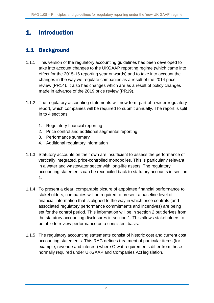### <span id="page-2-0"></span>1. Introduction

#### 1.1 Background

- 1.1.1 This version of the regulatory accounting guidelines has been developed to take into account changes to the UKGAAP reporting regime (which came into effect for the 2015-16 reporting year onwards) and to take into account the changes in the way we regulate companies as a result of the 2014 price review (PR14). It also has changes which are as a result of policy changes made in advance of the 2019 price review (PR19).
- 1.1.2 The regulatory accounting statements will now form part of a wider regulatory report, which companies will be required to submit annually. The report is split in to 4 sections;
	- 1. Regulatory financial reporting
	- 2. Price control and additional segmental reporting
	- 3. Performance summary
	- 4. Additional regulatory information
- 1.1.3 Statutory accounts on their own are insufficient to assess the performance of vertically integrated, price-controlled monopolies. This is particularly relevant in a water and wastewater sector with long-life assets. The regulatory accounting statements can be reconciled back to statutory accounts in section 1.
- 1.1.4 To present a clear, comparable picture of appointee financial performance to stakeholders, companies will be required to present a baseline level of financial information that is aligned to the way in which price controls (and associated regulatory performance commitments and incentives) are being set for the control period. This information will be in section 2 but derives from the statutory accounting disclosures in section 1. This allows stakeholders to be able to review performance on a consistent basis.
- 1.1.5 The regulatory accounting statements consist of historic cost and current cost accounting statements. This RAG defines treatment of particular items (for example; revenue and interest) where Ofwat requirements differ from those normally required under UKGAAP and Companies Act legislation.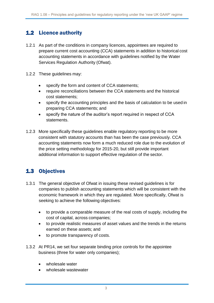#### 1.2 Licence authority

- 1.2.1 As part of the conditions in company licences, appointees are required to prepare current cost accounting (CCA) statements in addition to historical cost accounting statements in accordance with guidelines notified by the Water Services Regulation Authority (Ofwat).
- 1.2.2 These guidelines may:
	- specify the form and content of CCA statements;
	- require reconciliations between the CCA statements and the historical cost statements;
	- specify the accounting principles and the basis of calculation to be used in preparing CCA statements; and
	- specify the nature of the auditor's report required in respect of CCA statements.
- 1.2.3 More specifically these guidelines enable regulatory reporting to be more consistent with statutory accounts than has been the case previously. CCA accounting statements now form a much reduced role due to the evolution of the price setting methodology for 2015-20, but still provide important additional information to support effective regulation of the sector.

#### 1.3 Objectives

- 1.3.1 The general objective of Ofwat in issuing these revised guidelines is for companies to publish accounting statements which will be consistent with the economic framework in which they are regulated. More specifically, Ofwat is seeking to achieve the following objectives:
	- to provide a comparable measure of the real costs of supply, including the cost of capital, across companies;
	- to provide realistic measures of asset values and the trends in the returns earned on these assets; and
	- to promote transparency of costs.
- 1.3.2 At PR14, we set four separate binding price controls for the appointee business (three for water only companies);
	- wholesale water
	- wholesale wastewater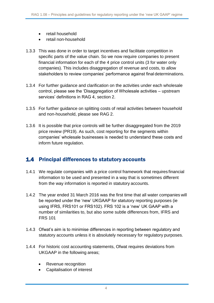- retail household
- retail non-household
- 1.3.3 This was done in order to target incentives and facilitate competition in specific parts of the value chain. So we now require companies to present financial information for each of the 4 price control units (3 for water only companies). This includes disaggregation of revenue and costs, to allow stakeholders to review companies' performance against final determinations.
- 1.3.4 For further guidance and clarification on the activities under each wholesale control, please see the 'Disaggregation of Wholesale activities – upstream services' definitions in RAG 4, section 2.
- 1.3.5 For further guidance on splitting costs of retail activities between household and non-household, please see RAG 2.
- 1.3.6 It is possible that price controls will be further disaggregated from the 2019 price review (PR19). As such, cost reporting for the segments within companies' wholesale businesses is needed to understand these costs and inform future regulation.

#### 1.4 Principal differences to statutory accounts

- 1.4.1 We regulate companies with a price control framework that requires financial information to be used and presented in a way that is sometimes different from the way information is reported in statutory accounts.
- 1.4.2 The year ended 31 March 2016 was the first time that all water companies will be reported under the 'new' UKGAAP for statutory reporting purposes (ie using IFRS, FRS101 or FRS102). FRS 102 is a 'new' UK GAAP with a number of similarities to, but also some subtle differences from, IFRS and FRS 101
- 1.4.3 Ofwat's aim is to minimise differences in reporting between regulatory and statutory accounts unless it is absolutely necessary for regulatory purposes.
- 1.4.4 For historic cost accounting statements, Ofwat requires deviations from UKGAAP in the following areas;
	- Revenue recognition
	- Capitalisation of interest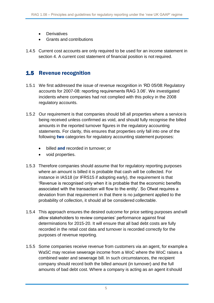- **Derivatives**
- Grants and contributions
- 1.4.5 Current cost accounts are only required to be used for an income statement in section 4. A current cost statement of financial position is not required.

#### 1.5 Revenue recognition

- 1.5.1 We first addressed the issue of revenue recognition in 'RD 05/08: Regulatory accounts for 2007-08: reporting requirements RAG 3.06'. We investigated incidents where companies had not complied with this policy in the 2008 regulatory accounts.
- 1.5.2 Our requirement is that companies should bill all properties where a service is being received unless confirmed as void, and should fully recognise the billed amounts in the reported turnover figures in the regulatory accounting statements. For clarity, this ensures that properties only fall into one of the following **two** categories for regulatory accounting statement purposes:
	- $\bullet$  billed and recorded in turnover; or
	- void properties.
- 1.5.3 Therefore companies should assume that for regulatory reporting purposes where an amount is billed it is probable that cash will be collected. For instance in IAS18 (or IFRS15 if adopting early), the requirement is that 'Revenue is recognised only when it is probable that the economic benefits associated with the transaction will flow to the entity'. So Ofwat requires a deviation from that requirement in that there is no judgement applied to the probability of collection, it should all be considered collectable.
- 1.5.4 This approach ensures the desired outcome for price setting purposes and will allow stakeholders to review companies' performance against final determinations for 2015-20. It will ensure that all bad debt costs are fully recorded in the retail cost data and turnover is recorded correctly for the purposes of revenue reporting.
- 1.5.5 Some companies receive revenue from customers via an agent, for example a WaSC may receive sewerage income from a WoC where the WoC raises a combined water and sewerage bill. In such circumstances, the recipient company should record both the billed amount (in turnover) and the full amounts of bad debt cost. Where a company is acting as an agent it should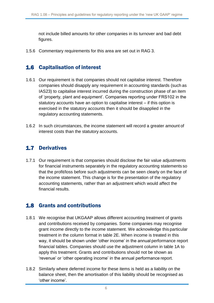not include billed amounts for other companies in its turnover and bad debt figures.

1.5.6 Commentary requirements for this area are set out in RAG 3.

#### 1.6 Capitalisation of interest

- 1.6.1 Our requirement is that companies should not capitalise interest. Therefore companies should disapply any requirement in accounting standards (such as IAS23) to capitalise interest incurred during the construction phase of an item of 'property, plant and equipment'. Companies reporting under FRS102 in the statutory accounts have an option to capitalise interest – if this option is exercised in the statutory accounts then it should be disapplied in the regulatory accounting statements.
- 1.6.2 In such circumstances, the income statement will record a greater amount of interest costs than the statutory accounts.

#### 1.7 Derivatives

1.7.1 Our requirement is that companies should disclose the fair value adjustments for financial instruments separately in the regulatory accounting statements so that the profit/loss before such adjustments can be seen clearly on the face of the income statement. This change is for the presentation of the regulatory accounting statements, rather than an adjustment which would affect the financial results.

#### 1.8 Grants and contributions

- 1.8.1 We recognise that UKGAAP allows different accounting treatment of grants and contributions received by companies. Some companies may recognise grant income directly to the income statement. We acknowledge this particular treatment in the column format in table 2E. When income is treated in this way, it should be shown under 'other income' in the annual performance report financial tables. Companies should use the adjustment column in table 1A to apply this treatment. Grants and contributions should not be shown as 'revenue' or 'other operating income' in the annual performance report.
- 1.8.2 Similarly where deferred income for these items is held as a liability on the balance sheet, then the amortisation of this liability should be recognised as 'other income'.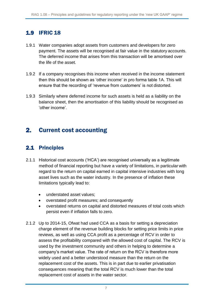#### 1.9 IFRIC 18

- 1.9.1 Water companies adopt assets from customers and developers for zero payment. The assets will be recognised at fair value in the statutory accounts. The deferred income that arises from this transaction will be amortised over the life of the asset.
- 1.9.2 If a company recognises this income when received in the income statement then this should be shown as 'other income' in pro forma table 1A. This will ensure that the recording of 'revenue from customers' is not distorted.
- 1.9.3 Similarly where deferred income for such assets is held as a liability on the balance sheet, then the amortisation of this liability should be recognised as 'other income'.

#### <span id="page-7-0"></span>2. Current cost accounting

#### 2.1 Principles

- 2.1.1 Historical cost accounts ('HCA') are recognised universally as a legitimate method of financial reporting but have a variety of limitations, in particular with regard to the return on capital earned in capital intensive industries with long asset lives such as the water industry. In the presence of inflation these limitations typically lead to:
	- understated asset values;
	- overstated profit measures; and consequently
	- overstated returns on capital and distorted measures of total costs which persist even if inflation falls to zero.
- 2.1.2 Up to 2014-15, Ofwat had used CCA as a basis for setting a depreciation charge element of the revenue building blocks for setting price limits in price reviews, as well as using CCA profit as a percentage of RCV in order to assess the profitability compared with the allowed cost of capital. The RCV is used by the investment community and others in helping to determine a company's market value. The rate of return on the RCV is therefore more widely used and a better understood measure than the return on the replacement cost of the assets. This is in part due to earlier privatisation consequences meaning that the total RCV is much lower than the total replacement cost of assets in the water sector.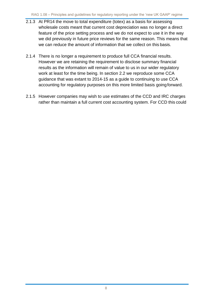- 2.1.3 At PR14 the move to total expenditure (totex) as a basis for assessing wholesale costs meant that current cost depreciation was no longer a direct feature of the price setting process and we do not expect to use it in the way we did previously in future price reviews for the same reason. This means that we can reduce the amount of information that we collect on this basis.
- 2.1.4 There is no longer a requirement to produce full CCA financial results. However we are retaining the requirement to disclose summary financial results as the information will remain of value to us in our wider regulatory work at least for the time being. In section 2.2 we reproduce some CCA guidance that was extant to 2014-15 as a guide to continuing to use CCA accounting for regulatory purposes on this more limited basis going forward.
- 2.1.5 However companies may wish to use estimates of the CCD and IRC charges rather than maintain a full current cost accounting system. For CCD this could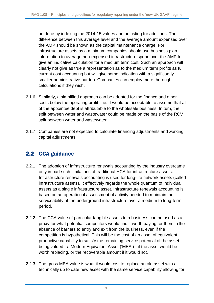be done by indexing the 2014-15 values and adjusting for additions. The difference between this average level and the average amount expensed over the AMP should be shown as the capital maintenance charge. For infrastructure assets as a minimum companies should use business plan information to average non-expensed infrastructure spend over the AMP to give an indicative calculation for a medium term cost. Such an approach will clearly not give as true a representation as to the medium term profits as full current cost accounting but will give some indication with a significantly smaller administrative burden. Companies can employ more thorough calculations if they wish.

- 2.1.6 Similarly, a simplified approach can be adopted for the finance and other costs below the operating profit line. It would be acceptable to assume that all of the appointee debt is attributable to the wholesale business. In turn, the split between water and wastewater could be made on the basis of the RCV split between water and wastewater.
- 2.1.7 Companies are not expected to calculate financing adjustments and working capital adjustments.

#### 2.2 CCA guidance

- 2.2.1 The adoption of infrastructure renewals accounting by the industry overcame only in part such limitations of traditional HCA for infrastructure assets. Infrastructure renewals accounting is used for long-life network assets (called infrastructure assets). It effectively regards the whole quantum of individual assets as a single infrastructure asset. Infrastructure renewals accounting is based on an operational assessment of activity needed to maintain the serviceability of the underground infrastructure over a medium to long-term period.
- 2.2.2 The CCA value of particular tangible assets to a business can be used as a proxy for what potential competitors would find it worth paying for them in the absence of barriers to entry and exit from the business, even if the competition is hypothetical. This will be the cost of an asset of equivalent productive capability to satisfy the remaining service potential of the asset being valued - a Modern Equivalent Asset ('MEA') - if the asset would be worth replacing, or the recoverable amount if it would not.
- 2.2.3 The gross MEA value is what it would cost to replace an old asset with a technically up to date new asset with the same service capability allowing for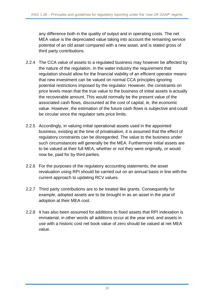any difference both in the quality of output and in operating costs. The net MEA value is the depreciated value taking into account the remaining service potential of an old asset compared with a new asset, and is stated gross of third party contributions.

- 2.2.4 The CCA value of assets to a regulated business may however be affected by the nature of the regulation. In the water industry the requirement that regulation should allow for the financial viability of an efficient operator means that new investment can be valued on normal CCA principles ignoring potential restrictions imposed by the regulator. However, the constraints on price levels mean that the true value to the business of initial assets is actually the recoverable amount. This would normally be the present value of the associated cash flows, discounted at the cost of capital, ie, the economic value. However, the estimation of the future cash flows is subjective and could be circular since the regulator sets price limits.
- 2.2.5 Accordingly, in valuing initial operational assets used in the appointed business, existing at the time of privatisation, it is assumed that the effect of regulatory constraints can be disregarded. The value to the business under such circumstances will generally be the MEA. Furthermore initial assets are to be valued at their full MEA, whether or not they were originally, or would now be, paid for by third parties.
- 2.2.6 For the purposes of the regulatory accounting statements, the asset revaluation using RPI should be carried out on an annual basis in line with the current approach to updating RCV values.
- 2.2.7 Third party contributions are to be treated like grants. Consequently for example, adopted assets are to be brought in as an asset in the year of adoption at their MEA cost.
- 2.2.8 It has also been assumed for additions to fixed assets that RPI indexation is immaterial; in other words all additions occur at the year end, and assets in use with a historic cost net book value of zero should be valued at net MEA value.